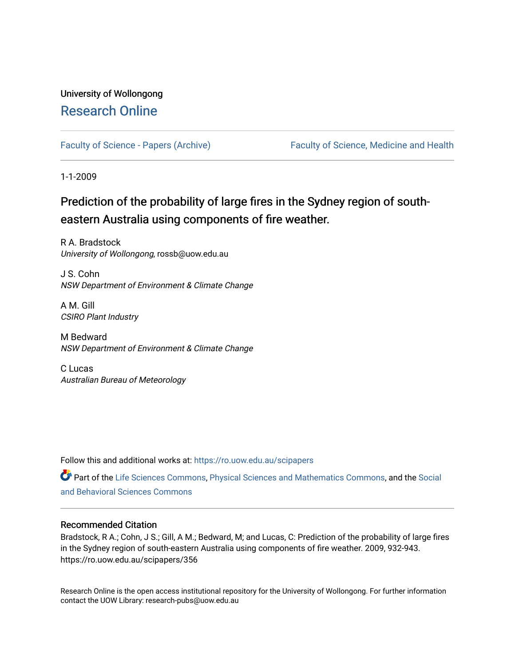## University of Wollongong [Research Online](https://ro.uow.edu.au/)

[Faculty of Science - Papers \(Archive\)](https://ro.uow.edu.au/scipapers) Faculty of Science, Medicine and Health

1-1-2009

# Prediction of the probability of large fires in the Sydney region of southeastern Australia using components of fire weather.

R A. Bradstock University of Wollongong, rossb@uow.edu.au

J S. Cohn NSW Department of Environment & Climate Change

A M. Gill CSIRO Plant Industry

M Bedward NSW Department of Environment & Climate Change

C Lucas Australian Bureau of Meteorology

Follow this and additional works at: [https://ro.uow.edu.au/scipapers](https://ro.uow.edu.au/scipapers?utm_source=ro.uow.edu.au%2Fscipapers%2F356&utm_medium=PDF&utm_campaign=PDFCoverPages)

Part of the [Life Sciences Commons,](http://network.bepress.com/hgg/discipline/1016?utm_source=ro.uow.edu.au%2Fscipapers%2F356&utm_medium=PDF&utm_campaign=PDFCoverPages) [Physical Sciences and Mathematics Commons,](http://network.bepress.com/hgg/discipline/114?utm_source=ro.uow.edu.au%2Fscipapers%2F356&utm_medium=PDF&utm_campaign=PDFCoverPages) and the [Social](http://network.bepress.com/hgg/discipline/316?utm_source=ro.uow.edu.au%2Fscipapers%2F356&utm_medium=PDF&utm_campaign=PDFCoverPages)  [and Behavioral Sciences Commons](http://network.bepress.com/hgg/discipline/316?utm_source=ro.uow.edu.au%2Fscipapers%2F356&utm_medium=PDF&utm_campaign=PDFCoverPages) 

### Recommended Citation

Bradstock, R A.; Cohn, J S.; Gill, A M.; Bedward, M; and Lucas, C: Prediction of the probability of large fires in the Sydney region of south-eastern Australia using components of fire weather. 2009, 932-943. https://ro.uow.edu.au/scipapers/356

Research Online is the open access institutional repository for the University of Wollongong. For further information contact the UOW Library: research-pubs@uow.edu.au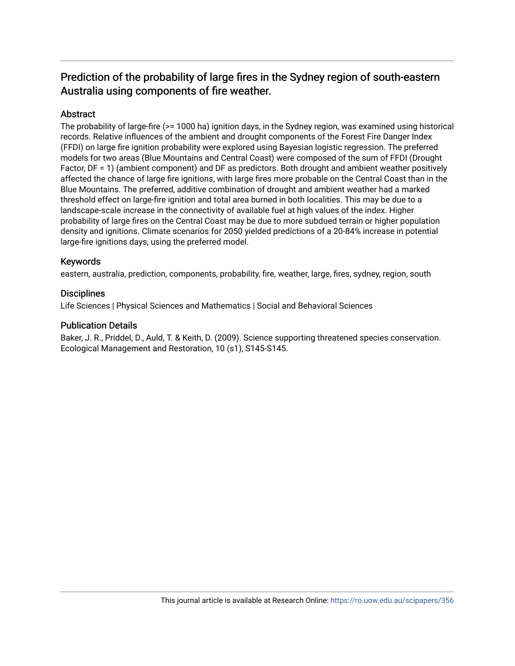## Prediction of the probability of large fires in the Sydney region of south-eastern Australia using components of fire weather.

## Abstract

The probability of large-fire (>= 1000 ha) ignition days, in the Sydney region, was examined using historical records. Relative influences of the ambient and drought components of the Forest Fire Danger Index (FFDI) on large fire ignition probability were explored using Bayesian logistic regression. The preferred models for two areas (Blue Mountains and Central Coast) were composed of the sum of FFDI (Drought Factor, DF = 1) (ambient component) and DF as predictors. Both drought and ambient weather positively affected the chance of large fire ignitions, with large fires more probable on the Central Coast than in the Blue Mountains. The preferred, additive combination of drought and ambient weather had a marked threshold effect on large-fire ignition and total area burned in both localities. This may be due to a landscape-scale increase in the connectivity of available fuel at high values of the index. Higher probability of large fires on the Central Coast may be due to more subdued terrain or higher population density and ignitions. Climate scenarios for 2050 yielded predictions of a 20-84% increase in potential large-fire ignitions days, using the preferred model.

## Keywords

eastern, australia, prediction, components, probability, fire, weather, large, fires, sydney, region, south

## **Disciplines**

Life Sciences | Physical Sciences and Mathematics | Social and Behavioral Sciences

### Publication Details

Baker, J. R., Priddel, D., Auld, T. & Keith, D. (2009). Science supporting threatened species conservation. Ecological Management and Restoration, 10 (s1), S145-S145.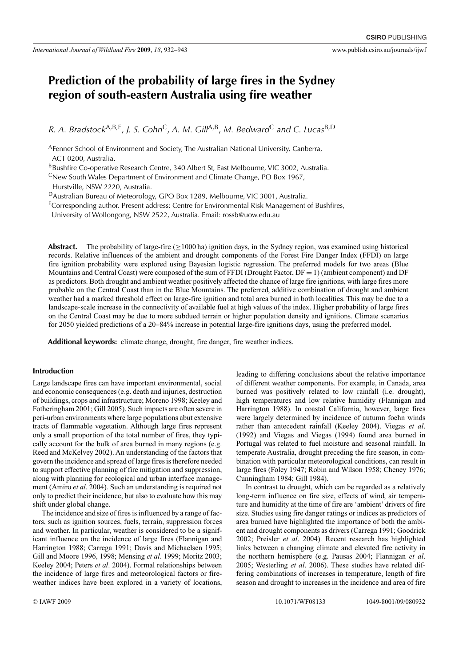## **Prediction of the probability of large fires in the Sydney region of south-eastern Australia using fire weather**

*R. A. Bradstock*A,B,E, *J. S. Cohn*C, *A. M. Gill*A,B, *M. Bedward*<sup>C</sup> *and C. Lucas*B,D

AFenner School of Environment and Society, The Australian National University, Canberra, ACT 0200, Australia.

<sup>B</sup>Bushfire Co-operative Research Centre, 340 Albert St, East Melbourne, VIC 3002, Australia.

CNew South Wales Department of Environment and Climate Change, PO Box 1967,

Hurstville, NSW 2220, Australia.

DAustralian Bureau of Meteorology, GPO Box 1289, Melbourne, VIC 3001, Australia.

<sup>E</sup>Corresponding author. Present address: Centre for Environmental Risk Management of Bushfires,

University of Wollongong, NSW 2522, Australia. Email: [rossb@uow.edu.au](mailto:rossb@uow.edu.au)

**Abstract.** The probability of large-fire (≥1000 ha) ignition days, in the Sydney region, was examined using historical records. Relative influences of the ambient and drought components of the Forest Fire Danger Index (FFDI) on large fire ignition probability were explored using Bayesian logistic regression. The preferred models for two areas (Blue Mountains and Central Coast) were composed of the sum of FFDI (Drought Factor,  $DF = 1$ ) (ambient component) and DF as predictors. Both drought and ambient weather positively affected the chance of large fire ignitions, with large fires more probable on the Central Coast than in the Blue Mountains. The preferred, additive combination of drought and ambient weather had a marked threshold effect on large-fire ignition and total area burned in both localities. This may be due to a landscape-scale increase in the connectivity of available fuel at high values of the index. Higher probability of large fires on the Central Coast may be due to more subdued terrain or higher population density and ignitions. Climate scenarios for 2050 yielded predictions of a 20–84% increase in potential large-fire ignitions days, using the preferred model.

**Additional keywords:** climate change, drought, fire danger, fire weather indices.

### **Introduction**

Large landscape fires can have important environmental, social and economic consequences (e.g. death and injuries, destruction of buildings, crops and infrastructure; Moreno 1998; Keeley and Fotheringham 2001; Gill 2005). Such impacts are often severe in peri-urban environments where large populations abut extensive tracts of flammable vegetation. Although large fires represent only a small proportion of the total number of fires, they typically account for the bulk of area burned in many regions (e.g. Reed and McKelvey 2002). An understanding of the factors that govern the incidence and spread of large fires is therefore needed to support effective planning of fire mitigation and suppression, along with planning for ecological and urban interface management (Amiro *et al*. 2004). Such an understanding is required not only to predict their incidence, but also to evaluate how this may shift under global change.

The incidence and size of fires is influenced by a range of factors, such as ignition sources, fuels, terrain, suppression forces and weather. In particular, weather is considered to be a significant influence on the incidence of large fires (Flannigan and Harrington 1988; Carrega 1991; Davis and Michaelsen 1995; Gill and Moore 1996, 1998; Mensing *et al*. 1999; Moritz 2003; Keeley 2004; Peters *et al*. 2004). Formal relationships between the incidence of large fires and meteorological factors or fireweather indices have been explored in a variety of locations, leading to differing conclusions about the relative importance of different weather components. For example, in Canada, area burned was positively related to low rainfall (i.e. drought), high temperatures and low relative humidity (Flannigan and Harrington 1988). In coastal California, however, large fires were largely determined by incidence of autumn foehn winds rather than antecedent rainfall (Keeley 2004). Viegas *et al*. (1992) and Viegas and Viegas (1994) found area burned in Portugal was related to fuel moisture and seasonal rainfall. In temperate Australia, drought preceding the fire season, in combination with particular meteorological conditions, can result in large fires (Foley 1947; Robin and Wilson 1958; Cheney 1976; Cunningham 1984; Gill 1984).

In contrast to drought, which can be regarded as a relatively long-term influence on fire size, effects of wind, air temperature and humidity at the time of fire are 'ambient' drivers of fire size. Studies using fire danger ratings or indices as predictors of area burned have highlighted the importance of both the ambient and drought components as drivers (Carrega 1991; Goodrick 2002; Preisler *et al*. 2004). Recent research has highlighted links between a changing climate and elevated fire activity in the northern hemisphere (e.g. Pausas 2004; Flannigan *et al*. 2005; Westerling *et al*. 2006). These studies have related differing combinations of increases in temperature, length of fire season and drought to increases in the incidence and area of fire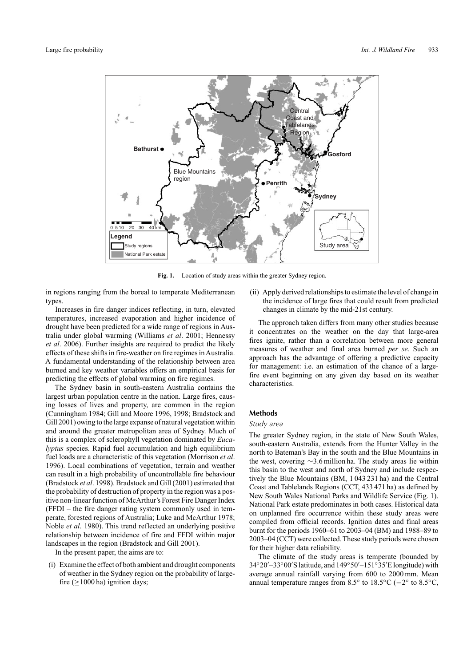

**Fig. 1.** Location of study areas within the greater Sydney region.

in regions ranging from the boreal to temperate Mediterranean types.

Increases in fire danger indices reflecting, in turn, elevated temperatures, increased evaporation and higher incidence of drought have been predicted for a wide range of regions in Australia under global warming (Williams *et al*. 2001; Hennessy *et al*. 2006). Further insights are required to predict the likely effects of these shifts in fire-weather on fire regimes inAustralia. A fundamental understanding of the relationship between area burned and key weather variables offers an empirical basis for predicting the effects of global warming on fire regimes.

The Sydney basin in south-eastern Australia contains the largest urban population centre in the nation. Large fires, causing losses of lives and property, are common in the region (Cunningham 1984; Gill and Moore 1996, 1998; Bradstock and Gill 2001) owing to the large expanse of natural vegetation within and around the greater metropolitan area of Sydney. Much of this is a complex of sclerophyll vegetation dominated by *Eucalyptus* species. Rapid fuel accumulation and high equilibrium fuel loads are a characteristic of this vegetation (Morrison *et al*. 1996). Local combinations of vegetation, terrain and weather can result in a high probability of uncontrollable fire behaviour (Bradstock *et al*. 1998). Bradstock and Gill (2001) estimated that the probability of destruction of property in the region was a positive non-linear function of McArthur's Forest Fire Danger Index (FFDI – the fire danger rating system commonly used in temperate, forested regions of Australia; Luke and McArthur 1978; Noble *et al*. 1980). This trend reflected an underlying positive relationship between incidence of fire and FFDI within major landscapes in the region (Bradstock and Gill 2001).

In the present paper, the aims are to:

(i) Examine the effect of both ambient and drought components of weather in the Sydney region on the probability of largefire  $(≥1000$  ha) ignition days;

(ii) Apply derived relationships to estimate the level of change in the incidence of large fires that could result from predicted changes in climate by the mid-21st century.

The approach taken differs from many other studies because it concentrates on the weather on the day that large-area fires ignite, rather than a correlation between more general measures of weather and final area burned *per se*. Such an approach has the advantage of offering a predictive capacity for management: i.e. an estimation of the chance of a largefire event beginning on any given day based on its weather characteristics.

#### **Methods**

#### *Study area*

The greater Sydney region, in the state of New South Wales, south-eastern Australia, extends from the Hunter Valley in the north to Bateman's Bay in the south and the Blue Mountains in the west, covering ∼3.6 million ha. The study areas lie within this basin to the west and north of Sydney and include respectively the Blue Mountains (BM, 1 043 231 ha) and the Central Coast and Tablelands Regions (CCT, 433 471 ha) as defined by New South Wales National Parks and Wildlife Service (Fig. 1). National Park estate predominates in both cases. Historical data on unplanned fire occurrence within these study areas were compiled from official records. Ignition dates and final areas burnt for the periods 1960–61 to 2003–04 (BM) and 1988–89 to 2003–04 (CCT) were collected.These study periods were chosen for their higher data reliability.

The climate of the study areas is temperate (bounded by 34◦20 –33◦00 S latitude, and 149◦50 –151◦35 E longitude) with average annual rainfall varying from 600 to 2000 mm. Mean annual temperature ranges from 8.5 $\textdegree$  to 18.5 $\textdegree$ C ( $-2\textdegree$  to 8.5 $\textdegree$ C,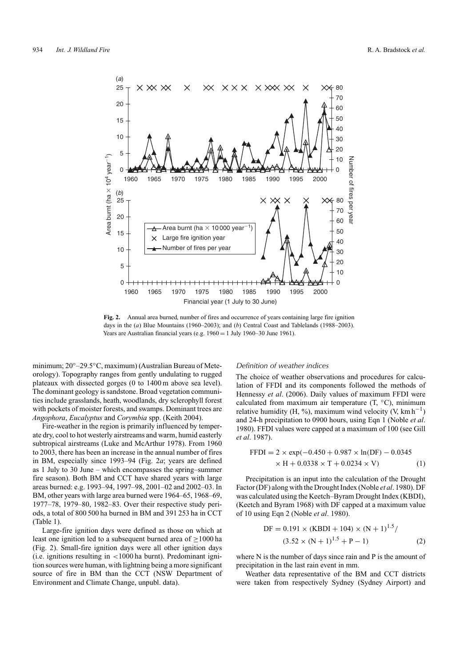

**Fig. 2.** Annual area burned, number of fires and occurrence of years containing large fire ignition days in the (*a*) Blue Mountains (1960–2003); and (*b*) Central Coast and Tablelands (1988–2003). Years are Australian financial years (e.g.  $1960 = 1$  July 1960–30 June 1961).

minimum; 20◦–29.5◦C, maximum) (Australian Bureau of Meteorology). Topography ranges from gently undulating to rugged plateaux with dissected gorges (0 to 1400 m above sea level). The dominant geology is sandstone. Broad vegetation communities include grasslands, heath, woodlands, dry sclerophyll forest with pockets of moister forests, and swamps. Dominant trees are *Angophora*, *Eucalyptus* and *Corymbia* spp. (Keith 2004).

Fire-weather in the region is primarily influenced by temperate dry, cool to hot westerly airstreams and warm, humid easterly subtropical airstreams (Luke and McArthur 1978). From 1960 to 2003, there has been an increase in the annual number of fires in BM, especially since 1993–94 (Fig. 2*a*; years are defined as 1 July to 30 June – which encompasses the spring–summer fire season). Both BM and CCT have shared years with large areas burned: e.g. 1993–94, 1997–98, 2001–02 and 2002–03. In BM, other years with large area burned were 1964–65, 1968–69, 1977–78, 1979–80, 1982–83. Over their respective study periods, a total of 800 500 ha burned in BM and 391 253 ha in CCT (Table 1).

Large-fire ignition days were defined as those on which at least one ignition led to a subsequent burned area of  $\geq$ 1000 ha (Fig. 2). Small-fire ignition days were all other ignition days (i.e. ignitions resulting in *<*1000 ha burnt). Predominant ignition sources were human, with lightning being a more significant source of fire in BM than the CCT (NSW Department of Environment and Climate Change, unpubl. data).

#### *Definition of weather indices*

The choice of weather observations and procedures for calculation of FFDI and its components followed the methods of Hennessy *et al*. (2006). Daily values of maximum FFDI were calculated from maximum air temperature  $(T, \,^{\circ}C)$ , minimum relative humidity (H, %), maximum wind velocity (V, km h<sup>-1</sup>) and 24-h precipitation to 0900 hours, using Eqn 1 (Noble *et al*. 1980). FFDI values were capped at a maximum of 100 (see Gill *et al*. 1987).

$$
\text{FFDI} = 2 \times \exp(-0.450 + 0.987 \times \ln(\text{DF}) - 0.0345
$$

$$
\times \text{H} + 0.0338 \times \text{T} + 0.0234 \times \text{V}) \tag{1}
$$

Precipitation is an input into the calculation of the Drought Factor (DF) along with the Drought Index (Noble *et al*. 1980). DF was calculated using the Keetch–Byram Drought Index (KBDI), (Keetch and Byram 1968) with DF capped at a maximum value of 10 using Eqn 2 (Noble *et al*. 1980).

DF = 0*.*191 × *(*KBDI + 104*)* × *(*N + 1*)* <sup>1</sup>*.*5*/ (*3*.*52 × *(*N + 1*)* <sup>1</sup>*.*<sup>5</sup> + P − 1*)* (2)

where N is the number of days since rain and P is the amount of precipitation in the last rain event in mm.

Weather data representative of the BM and CCT districts were taken from respectively Sydney (Sydney Airport) and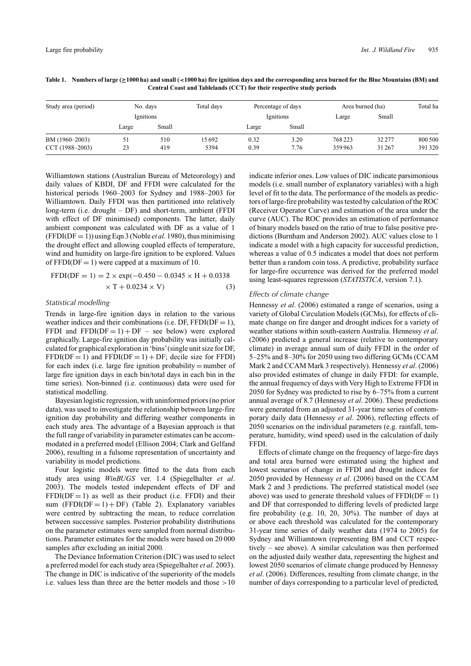| Study area (period) | No. days<br>Ignitions |       | Total days | Percentage of days<br>Ignitions |       | Area burned (ha) |       | Total ha |
|---------------------|-----------------------|-------|------------|---------------------------------|-------|------------------|-------|----------|
|                     |                       |       |            |                                 |       | Large            | Small |          |
|                     | Large                 | Small |            | Large                           | Small |                  |       |          |
| BM (1960–2003)      | 51                    | 510   | 15692      | 0.32                            | 3.20  | 768223           | 32277 | 800 500  |
| $CCT(1988-2003)$    | 23                    | 419   | 5394       | 0.39                            | 7.76  | 359963           | 31267 | 391320   |

**Table 1. Numbers of large (≥1000 ha) and small (***<***1000 ha) fire ignition days and the corresponding area burned for the Blue Mountains (BM) and Central Coast and Tablelands (CCT) for their respective study periods**

Williamtown stations (Australian Bureau of Meteorology) and daily values of KBDI, DF and FFDI were calculated for the historical periods 1960–2003 for Sydney and 1988–2003 for Williamtown. Daily FFDI was then partitioned into relatively long-term (i.e. drought – DF) and short-term, ambient (FFDI with effect of DF minimised) components. The latter, daily ambient component was calculated with DF as a value of 1  $(FFDI(DF = 1))$  using Eqn 3 (Noble *et al.* 1980), thus minimising the drought effect and allowing coupled effects of temperature, wind and humidity on large-fire ignition to be explored. Values of FFDI( $DF = 1$ ) were capped at a maximum of 10.

$$
FFDI(DF = 1) = 2 \times \exp(-0.450 - 0.0345 \times H + 0.0338
$$

$$
\times T + 0.0234 \times V)
$$
(3)

#### *Statistical modelling*

Trends in large-fire ignition days in relation to the various weather indices and their combinations (i.e. DF,  $FFDI(DF = 1)$ , FFDI and FFDI( $DF = 1$ ) + DF – see below) were explored graphically. Large-fire ignition day probability was initially calculated for graphical exploration in 'bins'(single unit size for DF,  $FFDI(DF = 1)$  and  $FFDI(DF = 1) + DF$ ; decile size for  $FFDI$ for each index (i.e. large fire ignition probability  $=$  number of large fire ignition days in each bin/total days in each bin in the time series). Non-binned (i.e. continuous) data were used for statistical modelling.

Bayesian logistic regression, with uninformed priors (no prior data), was used to investigate the relationship between large-fire ignition day probability and differing weather components in each study area. The advantage of a Bayesian approach is that the full range of variability in parameter estimates can be accommodated in a preferred model (Ellison 2004; Clark and Gelfand 2006), resulting in a fulsome representation of uncertainty and variability in model predictions.

Four logistic models were fitted to the data from each study area using *WinBUGS* ver. 1.4 (Spiegelhalter *et al*. 2003). The models tested independent effects of DF and  $FFDI(DF = 1)$  as well as their product (i.e. FFDI) and their sum  $(FFDI(DF = 1) + DF)$  (Table 2). Explanatory variables were centred by subtracting the mean, to reduce correlation between successive samples. Posterior probability distributions on the parameter estimates were sampled from normal distributions. Parameter estimates for the models were based on 20 000 samples after excluding an initial 2000.

The Deviance Information Criterion (DIC) was used to select a preferred model for each study area (Spiegelhalter *et al*. 2003). The change in DIC is indicative of the superiority of the models i.e. values less than three are the better models and those *>*10 indicate inferior ones. Low values of DIC indicate parsimonious models (i.e. small number of explanatory variables) with a high level of fit to the data. The performance of the models as predictors of large-fire probability was tested by calculation of the ROC (Receiver Operator Curve) and estimation of the area under the curve (AUC). The ROC provides an estimation of performance of binary models based on the ratio of true to false positive predictions (Burnham and Anderson 2002). AUC values close to 1 indicate a model with a high capacity for successful prediction, whereas a value of 0.5 indicates a model that does not perform better than a random coin toss. A predictive, probability surface for large-fire occurrence was derived for the preferred model using least-squares regression (*STATISTICA*, version 7.1).

#### *Effects of climate change*

Hennessy *et al*. (2006) estimated a range of scenarios, using a variety of Global Circulation Models (GCMs), for effects of climate change on fire danger and drought indices for a variety of weather stations within south-eastern Australia. Hennessy *et al*. (2006) predicted a general increase (relative to contemporary climate) in average annual sum of daily FFDI in the order of 5–25% and 8–30% for 2050 using two differing GCMs (CCAM Mark 2 and CCAM Mark 3 respectively). Hennessy *et al*. (2006) also provided estimates of change in daily FFDI: for example, the annual frequency of days with Very High to Extreme FFDI in 2050 for Sydney was predicted to rise by 6–75% from a current annual average of 8.7 (Hennessy *et al*. 2006). These predictions were generated from an adjusted 31-year time series of contemporary daily data (Hennessy *et al*. 2006), reflecting effects of 2050 scenarios on the individual parameters (e.g. rainfall, temperature, humidity, wind speed) used in the calculation of daily FFDI.

Effects of climate change on the frequency of large-fire days and total area burned were estimated using the highest and lowest scenarios of change in FFDI and drought indices for 2050 provided by Hennessy *et al*. (2006) based on the CCAM Mark 2 and 3 predictions. The preferred statistical model (see above) was used to generate threshold values of  $FFDI(DF = 1)$ and DF that corresponded to differing levels of predicted large fire probability (e.g. 10, 20, 30%). The number of days at or above each threshold was calculated for the contemporary 31-year time series of daily weather data (1974 to 2005) for Sydney and Williamtown (representing BM and CCT respectively – see above). A similar calculation was then performed on the adjusted daily weather data, representing the highest and lowest 2050 scenarios of climate change produced by Hennessy *et al*. (2006). Differences, resulting from climate change, in the number of days corresponding to a particular level of predicted,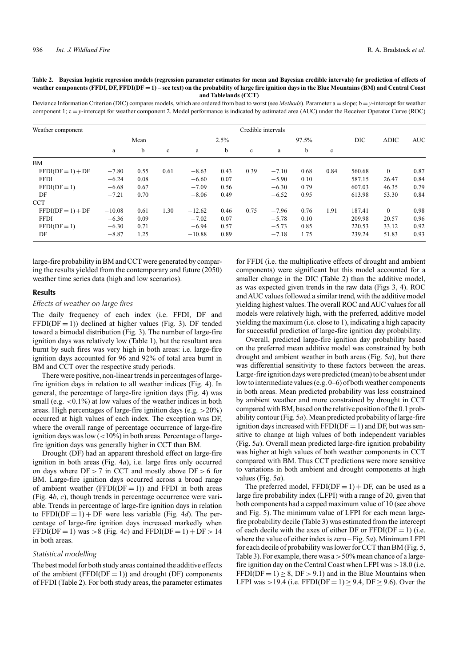| Table 2. Bayesian logistic regression models (regression parameter estimates for mean and Bayesian credible intervals) for prediction of effects of |
|-----------------------------------------------------------------------------------------------------------------------------------------------------|
| weather components (FFDI, DF, FFDI(DF = 1) – see text) on the probability of large fire ignition days in the Blue Mountains (BM) and Central Coast  |
| and Tablelands (CCT)                                                                                                                                |

Deviance Information Criterion (DIC) compares models, which are ordered from best to worst (see *Methods*). Parameter a = slope; b = *y*-intercept for weather component 1;  $c = y$ -intercept for weather component 2. Model performance is indicated by estimated area (AUC) under the Receiver Operator Curve (ROC)

| Weather component   | Credible intervals |      |              |          |             |              |         |       |              |        |                 |            |
|---------------------|--------------------|------|--------------|----------|-------------|--------------|---------|-------|--------------|--------|-----------------|------------|
|                     |                    | Mean |              |          | 2.5%        |              |         | 97.5% |              | DIC    | $\triangle DIC$ | <b>AUC</b> |
|                     | a                  | b    | $\mathbf{c}$ | a        | $\mathbf b$ | $\mathbf{c}$ | a       | b     | $\mathbf{c}$ |        |                 |            |
| <b>BM</b>           |                    |      |              |          |             |              |         |       |              |        |                 |            |
| $FFDI(DF = 1) + DF$ | $-7.80$            | 0.55 | 0.61         | $-8.63$  | 0.43        | 0.39         | $-7.10$ | 0.68  | 0.84         | 560.68 | $\Omega$        | 0.87       |
| <b>FFDI</b>         | $-6.24$            | 0.08 |              | $-6.60$  | 0.07        |              | $-5.90$ | 0.10  |              | 587.15 | 26.47           | 0.84       |
| $FFDI(DF = 1)$      | $-6.68$            | 0.67 |              | $-7.09$  | 0.56        |              | $-6.30$ | 0.79  |              | 607.03 | 46.35           | 0.79       |
| DF                  | $-7.21$            | 0.70 |              | $-8.06$  | 0.49        |              | $-6.52$ | 0.95  |              | 613.98 | 53.30           | 0.84       |
| <b>CCT</b>          |                    |      |              |          |             |              |         |       |              |        |                 |            |
| $FFDI(DF = 1) + DF$ | $-10.08$           | 0.61 | 1.30         | $-12.62$ | 0.46        | 0.75         | $-7.96$ | 0.76  | 1.91         | 187.41 | $\overline{0}$  | 0.98       |
| <b>FFDI</b>         | $-6.36$            | 0.09 |              | $-7.02$  | 0.07        |              | $-5.78$ | 0.10  |              | 209.98 | 20.57           | 0.96       |
| $FFDI(DF = 1)$      | $-6.30$            | 0.71 |              | $-6.94$  | 0.57        |              | $-5.73$ | 0.85  |              | 220.53 | 33.12           | 0.92       |
| DF                  | $-8.87$            | 1.25 |              | $-10.88$ | 0.89        |              | $-7.18$ | 1.75  |              | 239.24 | 51.83           | 0.93       |

large-fire probability in BM and CCT were generated by comparing the results yielded from the contemporary and future (2050) weather time series data (high and low scenarios).

#### **Results**

#### *Effects of weather on large fires*

The daily frequency of each index (i.e. FFDI, DF and  $FFDI(DF = 1)$ ) declined at higher values (Fig. 3). DF tended toward a bimodal distribution (Fig. 3). The number of large-fire ignition days was relatively low (Table 1), but the resultant area burnt by such fires was very high in both areas: i.e. large-fire ignition days accounted for 96 and 92% of total area burnt in BM and CCT over the respective study periods.

There were positive, non-linear trends in percentages of largefire ignition days in relation to all weather indices (Fig. 4). In general, the percentage of large-fire ignition days (Fig. 4) was small (e.g.  $\langle 0.1\% \rangle$ ) at low values of the weather indices in both areas. High percentages of large-fire ignition days (e.g. *>*20%) occurred at high values of each index. The exception was DF, where the overall range of percentage occurrence of large-fire ignition days was low (*<*10%) in both areas. Percentage of largefire ignition days was generally higher in CCT than BM.

Drought (DF) had an apparent threshold effect on large-fire ignition in both areas (Fig. 4*a*), i.e. large fires only occurred on days where DF *>* 7 in CCT and mostly above DF *>* 6 for BM. Large-fire ignition days occurred across a broad range of ambient weather (FFDI( $DF = 1$ )) and FFDI in both areas (Fig. 4*b*, *c*), though trends in percentage occurrence were variable. Trends in percentage of large-fire ignition days in relation to  $FFDI(DF = 1) + DF$  were less variable (Fig. 4*d*). The percentage of large-fire ignition days increased markedly when FFDI(DF = 1) was  $> 8$  (Fig. 4*c*) and FFDI(DF = 1) + DF  $> 14$ in both areas.

#### *Statistical modelling*

The best model for both study areas contained the additive effects of the ambient (FFDI( $DF = 1$ )) and drought ( $DF$ ) components of FFDI (Table 2). For both study areas, the parameter estimates

for FFDI (i.e. the multiplicative effects of drought and ambient components) were significant but this model accounted for a smaller change in the DIC (Table 2) than the additive model, as was expected given trends in the raw data (Figs 3, 4). ROC andAUC values followed a similar trend, with the additive model yielding highest values. The overall ROC and AUC values for all models were relatively high, with the preferred, additive model yielding the maximum (i.e. close to 1), indicating a high capacity for successful prediction of large-fire ignition day probability.

Overall, predicted large-fire ignition day probability based on the preferred mean additive model was constrained by both drought and ambient weather in both areas (Fig. 5*a*), but there was differential sensitivity to these factors between the areas. Large-fire ignition days were predicted (mean) to be absent under low to intermediate values (e.g. 0–6) of both weather components in both areas. Mean predicted probability was less constrained by ambient weather and more constrained by drought in CCT compared with BM, based on the relative position of the 0.1 probability contour (Fig. 5*a*). Mean predicted probability of large-fire ignition days increased with  $FFDI(DF = 1)$  and DF, but was sensitive to change at high values of both independent variables (Fig. 5*a*). Overall mean predicted large-fire ignition probability was higher at high values of both weather components in CCT compared with BM. Thus CCT predictions were more sensitive to variations in both ambient and drought components at high values (Fig. 5*a*).

The preferred model,  $FFDI(DF = 1) + DF$ , can be used as a large fire probability index (LFPI) with a range of 20, given that both components had a capped maximum value of 10 (see above and Fig. 5). The minimum value of LFPI for each mean largefire probability decile (Table 3) was estimated from the intercept of each decile with the axes of either DF or  $FFDI(DF = 1)$  (i.e. where the value of either index is zero – Fig. 5*a*). Minimum LFPI for each decile of probability was lower for CCT than BM (Fig. 5, Table 3). For example, there was a *>*50% mean chance of a largefire ignition day on the Central Coast when LFPI was *>*18.0 (i.e.  $FFDI(DF = 1) \ge 8$ ,  $DF > 9.1$ ) and in the Blue Mountains when LFPI was >19.4 (i.e. FFDI(DF = 1)  $\geq$  9.4, DF  $\geq$  9.6). Over the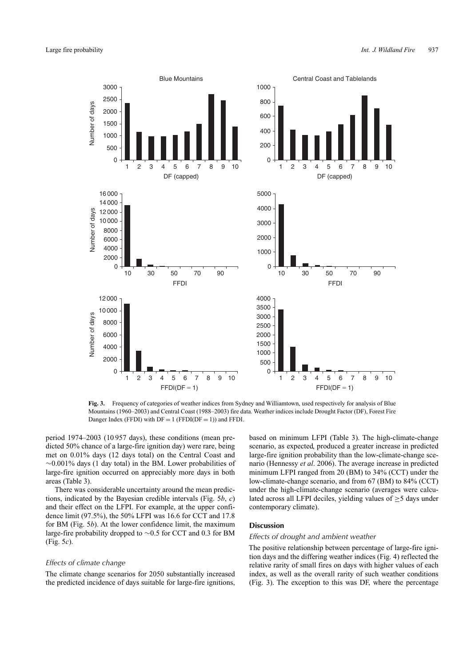

**Fig. 3.** Frequency of categories of weather indices from Sydney and Williamtown, used respectively for analysis of Blue Mountains (1960–2003) and Central Coast (1988–2003) fire data. Weather indices include Drought Factor (DF), Forest Fire Danger Index (FFDI) with  $DF = 1$  (FFDI( $DF = 1$ )) and FFDI.

period 1974–2003 (10 957 days), these conditions (mean predicted 50% chance of a large-fire ignition day) were rare, being met on 0.01% days (12 days total) on the Central Coast and ∼0.001% days (1 day total) in the BM. Lower probabilities of large-fire ignition occurred on appreciably more days in both areas (Table 3).

There was considerable uncertainty around the mean predictions, indicated by the Bayesian credible intervals (Fig. 5*b*, *c*) and their effect on the LFPI. For example, at the upper confidence limit (97.5%), the 50% LFPI was 16.6 for CCT and 17.8 for BM (Fig. 5*b*). At the lower confidence limit, the maximum large-fire probability dropped to ∼0.5 for CCT and 0.3 for BM (Fig. 5*c*).

#### *Effects of climate change*

The climate change scenarios for 2050 substantially increased the predicted incidence of days suitable for large-fire ignitions,

based on minimum LFPI (Table 3). The high-climate-change scenario, as expected, produced a greater increase in predicted large-fire ignition probability than the low-climate-change scenario (Hennessy *et al*. 2006). The average increase in predicted minimum LFPI ranged from 20 (BM) to 34% (CCT) under the low-climate-change scenario, and from 67 (BM) to 84% (CCT) under the high-climate-change scenario (averages were calculated across all LFPI deciles, yielding values of ≥5 days under contemporary climate).

#### **Discussion**

#### *Effects of drought and ambient weather*

The positive relationship between percentage of large-fire ignition days and the differing weather indices (Fig. 4) reflected the relative rarity of small fires on days with higher values of each index, as well as the overall rarity of such weather conditions (Fig. 3). The exception to this was DF, where the percentage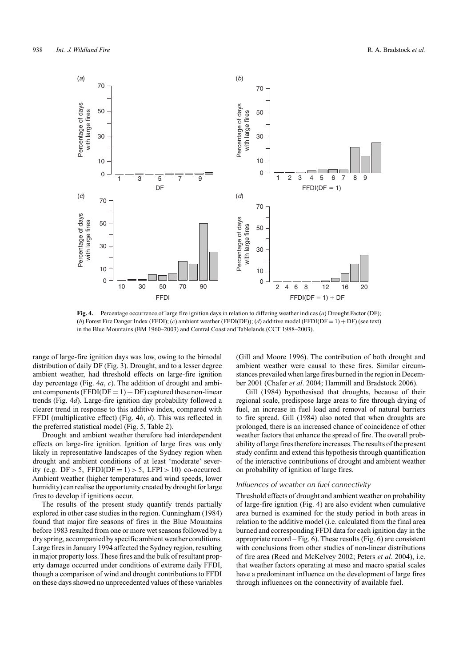

**Fig. 4.** Percentage occurrence of large fire ignition days in relation to differing weather indices (*a*) Drought Factor (DF); (*b*) Forest Fire Danger Index (FFDI); (*c*) ambient weather (FFDI(DF)); (*d*) additive model (FFDI(DF = 1) + DF) (see text) in the Blue Mountains (BM 1960–2003) and Central Coast and Tablelands (CCT 1988–2003).

range of large-fire ignition days was low, owing to the bimodal distribution of daily DF (Fig. 3). Drought, and to a lesser degree ambient weather, had threshold effects on large-fire ignition day percentage (Fig. 4*a*, *c*). The addition of drought and ambient components (FFDI( $DF = 1$ ) + DF) captured these non-linear trends (Fig. 4*d*). Large-fire ignition day probability followed a clearer trend in response to this additive index, compared with FFDI (multiplicative effect) (Fig. 4*b*, *d*). This was reflected in the preferred statistical model (Fig. 5, Table 2).

Drought and ambient weather therefore had interdependent effects on large-fire ignition. Ignition of large fires was only likely in representative landscapes of the Sydney region when drought and ambient conditions of at least 'moderate' severity (e.g. DF *>* 5, FFDI(DF = 1) *>* 5, LFPI *>* 10) co-occurred. Ambient weather (higher temperatures and wind speeds, lower humidity) can realise the opportunity created by drought for large fires to develop if ignitions occur.

The results of the present study quantify trends partially explored in other case studies in the region. Cunningham (1984) found that major fire seasons of fires in the Blue Mountains before 1983 resulted from one or more wet seasons followed by a dry spring, accompanied by specific ambient weather conditions. Large fires in January 1994 affected the Sydney region, resulting in major property loss. These fires and the bulk of resultant property damage occurred under conditions of extreme daily FFDI, though a comparison of wind and drought contributions to FFDI on these days showed no unprecedented values of these variables (Gill and Moore 1996). The contribution of both drought and ambient weather were causal to these fires. Similar circumstances prevailed when large fires burned in the region in December 2001 (Chafer *et al*. 2004; Hammill and Bradstock 2006).

Gill (1984) hypothesised that droughts, because of their regional scale, predispose large areas to fire through drying of fuel, an increase in fuel load and removal of natural barriers to fire spread. Gill (1984) also noted that when droughts are prolonged, there is an increased chance of coincidence of other weather factors that enhance the spread of fire. The overall probability of large fires therefore increases.The results of the present study confirm and extend this hypothesis through quantification of the interactive contributions of drought and ambient weather on probability of ignition of large fires.

#### *Influences of weather on fuel connectivity*

Threshold effects of drought and ambient weather on probability of large-fire ignition (Fig. 4) are also evident when cumulative area burned is examined for the study period in both areas in relation to the additive model (i.e. calculated from the final area burned and corresponding FFDI data for each ignition day in the appropriate record – Fig. 6). These results (Fig. 6) are consistent with conclusions from other studies of non-linear distributions of fire area (Reed and McKelvey 2002; Peters *et al*. 2004), i.e. that weather factors operating at meso and macro spatial scales have a predominant influence on the development of large fires through influences on the connectivity of available fuel.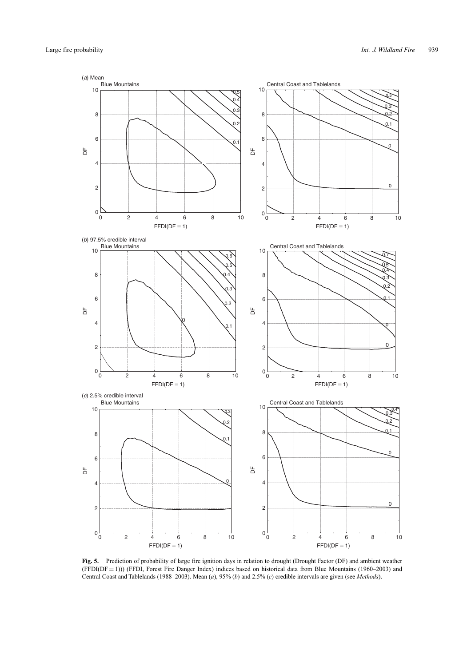

**Fig. 5.** Prediction of probability of large fire ignition days in relation to drought (Drought Factor (DF) and ambient weather (FFDI(DF = 1))) (FFDI, Forest Fire Danger Index) indices based on historical data from Blue Mountains (1960–2003) and Central Coast and Tablelands (1988–2003). Mean (*a*), 95% (*b*) and 2.5% (*c*) credible intervals are given (see *Methods*).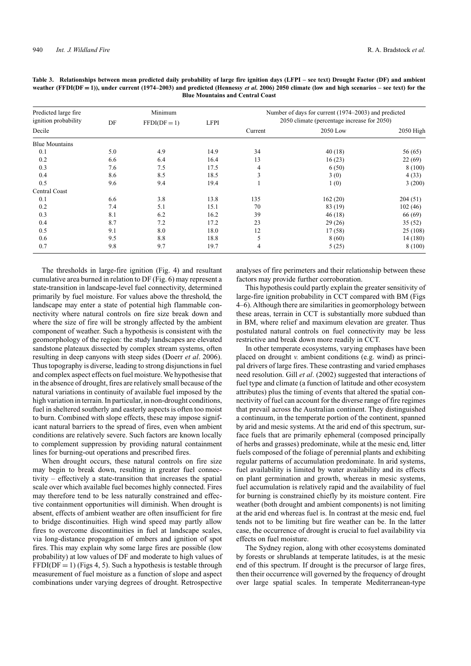| Predicted large fire<br>ignition probability<br>Decile |     | Minimum        |             | Number of days for current (1974–2003) and predicted<br>2050 climate (percentage increase for 2050) |          |           |  |
|--------------------------------------------------------|-----|----------------|-------------|-----------------------------------------------------------------------------------------------------|----------|-----------|--|
|                                                        | DF  | $FFDI(DF = 1)$ | <b>LFPI</b> | Current                                                                                             | 2050 Low | 2050 High |  |
| <b>Blue Mountains</b>                                  |     |                |             |                                                                                                     |          |           |  |
| 0.1                                                    | 5.0 | 4.9            | 14.9        | 34                                                                                                  | 40(18)   | 56(65)    |  |
| 0.2                                                    | 6.6 | 6.4            | 16.4        | 13                                                                                                  | 16(23)   | 22(69)    |  |
| 0.3                                                    | 7.6 | 7.5            | 17.5        | 4                                                                                                   | 6(50)    | 8(100)    |  |
| 0.4                                                    | 8.6 | 8.5            | 18.5        | 3                                                                                                   | 3(0)     | 4(33)     |  |
| 0.5                                                    | 9.6 | 9.4            | 19.4        |                                                                                                     | 1(0)     | 3(200)    |  |
| Central Coast                                          |     |                |             |                                                                                                     |          |           |  |
| 0.1                                                    | 6.6 | 3.8            | 13.8        | 135                                                                                                 | 162(20)  | 204(51)   |  |
| 0.2                                                    | 7.4 | 5.1            | 15.1        | 70                                                                                                  | 83 (19)  | 102(46)   |  |
| 0.3                                                    | 8.1 | 6.2            | 16.2        | 39                                                                                                  | 46(18)   | 66 (69)   |  |
| 0.4                                                    | 8.7 | 7.2            | 17.2        | 23                                                                                                  | 29(26)   | 35(52)    |  |
| 0.5                                                    | 9.1 | 8.0            | 18.0        | 12                                                                                                  | 17(58)   | 25(108)   |  |
| 0.6                                                    | 9.5 | 8.8            | 18.8        | 5                                                                                                   | 8(60)    | 14 (180)  |  |
| 0.7                                                    | 9.8 | 9.7            | 19.7        | 4                                                                                                   | 5(25)    | 8 (100)   |  |

| Table 3. Relationships between mean predicted daily probability of large fire ignition days (LFPI – see text) Drought Factor (DF) and ambient          |
|--------------------------------------------------------------------------------------------------------------------------------------------------------|
| weather (FFDI(DF = 1)), under current (1974–2003) and predicted (Hennessy <i>et al.</i> 2006) 2050 climate (low and high scenarios – see text) for the |
| <b>Blue Mountains and Central Coast</b>                                                                                                                |

The thresholds in large-fire ignition (Fig. 4) and resultant cumulative area burned in relation to DF (Fig. 6) may represent a state-transition in landscape-level fuel connectivity, determined primarily by fuel moisture. For values above the threshold, the landscape may enter a state of potential high flammable connectivity where natural controls on fire size break down and where the size of fire will be strongly affected by the ambient component of weather. Such a hypothesis is consistent with the geomorphology of the region: the study landscapes are elevated sandstone plateaux dissected by complex stream systems, often resulting in deep canyons with steep sides (Doerr *et al*. 2006). Thus topography is diverse, leading to strong disjunctions in fuel and complex aspect effects on fuel moisture. We hypothesise that in the absence of drought, fires are relatively small because of the natural variations in continuity of available fuel imposed by the high variation in terrain. In particular, in non-drought conditions, fuel in sheltered southerly and easterly aspects is often too moist to burn. Combined with slope effects, these may impose significant natural barriers to the spread of fires, even when ambient conditions are relatively severe. Such factors are known locally to complement suppression by providing natural containment lines for burning-out operations and prescribed fires.

When drought occurs, these natural controls on fire size may begin to break down, resulting in greater fuel connectivity – effectively a state-transition that increases the spatial scale over which available fuel becomes highly connected. Fires may therefore tend to be less naturally constrained and effective containment opportunities will diminish. When drought is absent, effects of ambient weather are often insufficient for fire to bridge discontinuities. High wind speed may partly allow fires to overcome discontinuities in fuel at landscape scales, via long-distance propagation of embers and ignition of spot fires. This may explain why some large fires are possible (low probability) at low values of DF and moderate to high values of  $FFDI(DF = 1)$  (Figs 4, 5). Such a hypothesis is testable through measurement of fuel moisture as a function of slope and aspect combinations under varying degrees of drought. Retrospective analyses of fire perimeters and their relationship between these factors may provide further corroboration.

This hypothesis could partly explain the greater sensitivity of large-fire ignition probability in CCT compared with BM (Figs 4–6). Although there are similarities in geomorphology between these areas, terrain in CCT is substantially more subdued than in BM, where relief and maximum elevation are greater. Thus postulated natural controls on fuel connectivity may be less restrictive and break down more readily in CCT.

In other temperate ecosystems, varying emphases have been placed on drought *v.* ambient conditions (e.g. wind) as principal drivers of large fires. These contrasting and varied emphases need resolution. Gill *et al*. (2002) suggested that interactions of fuel type and climate (a function of latitude and other ecosystem attributes) plus the timing of events that altered the spatial connectivity of fuel can account for the diverse range of fire regimes that prevail across the Australian continent. They distinguished a continuum, in the temperate portion of the continent, spanned by arid and mesic systems. At the arid end of this spectrum, surface fuels that are primarily ephemeral (composed principally of herbs and grasses) predominate, while at the mesic end, litter fuels composed of the foliage of perennial plants and exhibiting regular patterns of accumulation predominate. In arid systems, fuel availability is limited by water availability and its effects on plant germination and growth, whereas in mesic systems, fuel accumulation is relatively rapid and the availability of fuel for burning is constrained chiefly by its moisture content. Fire weather (both drought and ambient components) is not limiting at the arid end whereas fuel is. In contrast at the mesic end, fuel tends not to be limiting but fire weather can be. In the latter case, the occurrence of drought is crucial to fuel availability via effects on fuel moisture.

The Sydney region, along with other ecosystems dominated by forests or shrublands at temperate latitudes, is at the mesic end of this spectrum. If drought is the precursor of large fires, then their occurrence will governed by the frequency of drought over large spatial scales. In temperate Mediterranean-type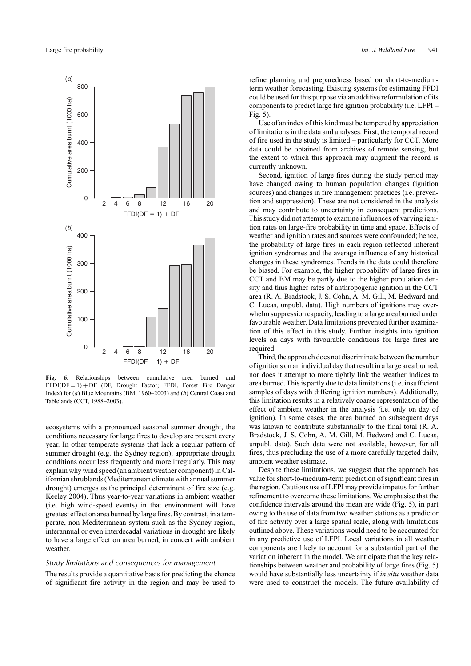

**Fig. 6.** Relationships between cumulative area burned and  $FFDI(DF = 1) + DF$  (DF, Drought Factor; FFDI, Forest Fire Danger Index) for (*a*) Blue Mountains (BM, 1960–2003) and (*b*) Central Coast and Tablelands (CCT, 1988–2003).

ecosystems with a pronounced seasonal summer drought, the conditions necessary for large fires to develop are present every year. In other temperate systems that lack a regular pattern of summer drought (e.g. the Sydney region), appropriate drought conditions occur less frequently and more irregularly. This may explain why wind speed (an ambient weather component) in Californian shrublands (Mediterranean climate with annual summer drought) emerges as the principal determinant of fire size (e.g. Keeley 2004). Thus year-to-year variations in ambient weather (i.e. high wind-speed events) in that environment will have greatest effect on area burned by large fires. By contrast, in a temperate, non-Mediterranean system such as the Sydney region, interannual or even interdecadal variations in drought are likely to have a large effect on area burned, in concert with ambient weather.

#### *Study limitations and consequences for management*

The results provide a quantitative basis for predicting the chance of significant fire activity in the region and may be used to refine planning and preparedness based on short-to-mediumterm weather forecasting. Existing systems for estimating FFDI could be used for this purpose via an additive reformulation of its components to predict large fire ignition probability (i.e. LFPI – Fig. 5).

Use of an index of this kind must be tempered by appreciation of limitations in the data and analyses. First, the temporal record of fire used in the study is limited – particularly for CCT. More data could be obtained from archives of remote sensing, but the extent to which this approach may augment the record is currently unknown.

Second, ignition of large fires during the study period may have changed owing to human population changes (ignition sources) and changes in fire management practices (i.e. prevention and suppression). These are not considered in the analysis and may contribute to uncertainty in consequent predictions. This study did not attempt to examine influences of varying ignition rates on large-fire probability in time and space. Effects of weather and ignition rates and sources were confounded; hence, the probability of large fires in each region reflected inherent ignition syndromes and the average influence of any historical changes in these syndromes. Trends in the data could therefore be biased. For example, the higher probability of large fires in CCT and BM may be partly due to the higher population density and thus higher rates of anthropogenic ignition in the CCT area (R. A. Bradstock, J. S. Cohn, A. M. Gill, M. Bedward and C. Lucas, unpubl. data). High numbers of ignitions may overwhelm suppression capacity, leading to a large area burned under favourable weather. Data limitations prevented further examination of this effect in this study. Further insights into ignition levels on days with favourable conditions for large fires are required.

Third, the approach does not discriminate between the number of ignitions on an individual day that result in a large area burned, nor does it attempt to more tightly link the weather indices to area burned.This is partly due to data limitations (i.e. insufficient samples of days with differing ignition numbers). Additionally, this limitation results in a relatively coarse representation of the effect of ambient weather in the analysis (i.e. only on day of ignition). In some cases, the area burned on subsequent days was known to contribute substantially to the final total (R. A. Bradstock, J. S. Cohn, A. M. Gill, M. Bedward and C. Lucas, unpubl. data). Such data were not available, however, for all fires, thus precluding the use of a more carefully targeted daily, ambient weather estimate.

Despite these limitations, we suggest that the approach has value for short-to-medium-term prediction of significant fires in the region. Cautious use of LFPI may provide impetus for further refinement to overcome these limitations. We emphasise that the confidence intervals around the mean are wide (Fig. 5), in part owing to the use of data from two weather stations as a predictor of fire activity over a large spatial scale, along with limitations outlined above. These variations would need to be accounted for in any predictive use of LFPI. Local variations in all weather components are likely to account for a substantial part of the variation inherent in the model. We anticipate that the key relationships between weather and probability of large fires (Fig. 5) would have substantially less uncertainty if *in situ* weather data were used to construct the models. The future availability of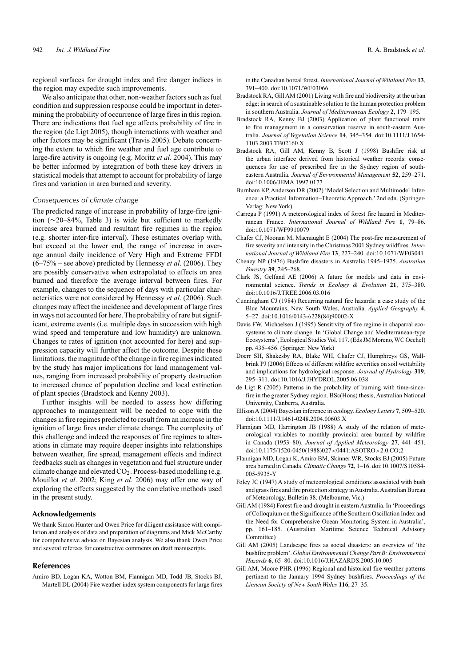regional surfaces for drought index and fire danger indices in the region may expedite such improvements.

We also anticipate that other, non-weather factors such as fuel condition and suppression response could be important in determining the probability of occurrence of large fires in this region. There are indications that fuel age affects probability of fire in the region (de Ligt 2005), though interactions with weather and other factors may be significant (Travis 2005). Debate concerning the extent to which fire weather and fuel age contribute to large-fire activity is ongoing (e.g. Moritz *et al*. 2004). This may be better informed by integration of both these key drivers in statistical models that attempt to account for probability of large fires and variation in area burned and severity.

#### *Consequences of climate change*

The predicted range of increase in probability of large-fire ignition (∼20–84%, Table 3) is wide but sufficient to markedly increase area burned and resultant fire regimes in the region (e.g. shorter inter-fire interval). These estimates overlap with, but exceed at the lower end, the range of increase in average annual daily incidence of Very High and Extreme FFDI (6–75% – see above) predicted by Hennessy *et al*. (2006). They are possibly conservative when extrapolated to effects on area burned and therefore the average interval between fires. For example, changes to the sequence of days with particular characteristics were not considered by Hennessy *et al*. (2006). Such changes may affect the incidence and development of large fires in ways not accounted for here.The probability of rare but significant, extreme events (i.e. multiple days in succession with high wind speed and temperature and low humidity) are unknown. Changes to rates of ignition (not accounted for here) and suppression capacity will further affect the outcome. Despite these limitations, the magnitude of the change in fire regimes indicated by the study has major implications for land management values, ranging from increased probability of property destruction to increased chance of population decline and local extinction of plant species (Bradstock and Kenny 2003).

Further insights will be needed to assess how differing approaches to management will be needed to cope with the changes in fire regimes predicted to result from an increase in the ignition of large fires under climate change. The complexity of this challenge and indeed the responses of fire regimes to alterations in climate may require deeper insights into relationships between weather, fire spread, management effects and indirect feedbacks such as changes in vegetation and fuel structure under climate change and elevated  $CO<sub>2</sub>$ . Process-based modelling (e.g. Mouillot *et al*. 2002; King *et al*. 2006) may offer one way of exploring the effects suggested by the correlative methods used in the present study.

#### **Acknowledgements**

We thank Simon Hunter and Owen Price for diligent assistance with compilation and analysis of data and preparation of diagrams and Mick McCarthy for comprehensive advice on Bayesian analysis. We also thank Owen Price and several referees for constructive comments on draft manuscripts.

#### **References**

Amiro BD, Logan KA, Wotton BM, Flannigan MD, Todd JB, Stocks BJ, Martell DL (2004) Fire weather index system components for large fires in the Canadian boreal forest. *International Journal of Wildland Fire* **13**, 391–400. doi:10.1071/WF03066

- Bradstock RA, Gill AM (2001) Living with fire and biodiversity at the urban edge: in search of a sustainable solution to the human protection problem in southern Australia. *Journal of Mediterranean Ecology* **2**, 179–195.
- Bradstock RA, Kenny BJ (2003) Application of plant functional traits to fire management in a conservation reserve in south-eastern Australia. *Journal of Vegetation Science* **14**, 345–354. doi:10.1111/J.1654- 1103.2003.TB02160.X
- Bradstock RA, Gill AM, Kenny B, Scott J (1998) Bushfire risk at the urban interface derived from historical weather records: consequences for use of prescribed fire in the Sydney region of southeastern Australia. *Journal of Environmental Management* **52**, 259–271. doi:10.1006/JEMA.1997.0177
- Burnham KP, Anderson DR (2002) 'Model Selection and Multimodel Inference: a Practical Information–Theoretic Approach.' 2nd edn. (Springer-Verlag: New York)
- Carrega P (1991) A meteorological index of forest fire hazard in Mediterranean France. *International Journal of Wildland Fire* **1**, 79–86. doi:10.1071/WF9910079
- Chafer CJ, Noonan M, Macnaught E (2004) The post-fire measurement of fire severity and intensity in the Christmas 2001 Sydney wildfires. *International Journal of Wildland Fire* **13**, 227–240. doi:10.1071/WF03041
- Cheney NP (1976) Bushfire disasters in Australia 1945–1975. *Australian Forestry* **39**, 245–268.
- Clark JS, Gelfand AE (2006) A future for models and data in environmental science. *Trends in Ecology & Evolution* **21**, 375–380. doi:10.1016/J.TREE.2006.03.016
- Cunningham CJ (1984) Recurring natural fire hazards: a case study of the Blue Mountains, New South Wales, Australia. *Applied Geography* **4**, 5–27. doi:10.1016/0143-6228(84)90002-X
- Davis FW, Michaelsen J (1995) Sensitivity of fire regime in chaparral ecosystems to climate change. In 'Global Change and Mediterranean-type Ecosystems', Ecological Studies Vol. 117. (Eds JM Moreno, WC Oechel) pp. 435–456. (Springer: New York)
- Doerr SH, Shakesby RA, Blake WH, Chafer CJ, Humphreys GS, Wallbrink PJ (2006) Effects of different wildfire severities on soil wettability and implications for hydrological response. *Journal of Hydrology* **319**, 295–311. doi:10.1016/J.JHYDROL.2005.06.038
- de Ligt R (2005) Patterns in the probability of burning with time-sincefire in the greater Sydney region. BSc(Hons) thesis, Australian National University, Canberra, Australia.
- Ellison A (2004) Bayesian inference in ecology. *Ecology Letters* **7**, 509–520. doi:10.1111/J.1461-0248.2004.00603.X
- Flannigan MD, Harrington JB (1988) A study of the relation of meteorological variables to monthly provincial area burned by wildfire in Canada (1953–80). *Journal of Applied Meteorology* **27**, 441–451. doi:10.1175/1520-0450(1988)027*<*0441:ASOTRO*>*2.0.CO;2
- Flannigan MD, Logan K, Amiro BM, Skinner WR, Stocks BJ (2005) Future area burned in Canada. *Climatic Change* **72**, 1–16. doi:10.1007/S10584- 005-5935-Y
- Foley JC (1947) A study of meteorological conditions associated with bush and grass fires and fire protection strategy inAustralia.Australian Bureau of Meteorology, Bulletin 38. (Melbourne, Vic.)
- Gill AM (1984) Forest fire and drought in eastern Australia. In 'Proceedings of Colloquium on the Significance of the Southern Oscillation Index and the Need for Comprehensive Ocean Monitoring System in Australia', pp. 161–185. (Australian Maritime Science Technical Advisory Committee)
- Gill AM (2005) Landscape fires as social disasters: an overview of 'the bushfire problem'. *Global Environmental Change Part B: Environmental Hazards* **6**, 65–80. doi:10.1016/J.HAZARDS.2005.10.005
- Gill AM, Moore PHR (1996) Regional and historical fire weather patterns pertinent to the January 1994 Sydney bushfires. *Proceedings of the Linnean Society of New South Wales* **116**, 27–35.